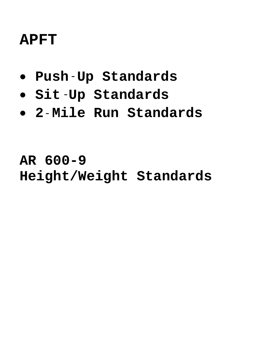## **APFT**

- **Push-Up Standards**
- **Sit-Up Standards**
- **2 Mile Run Standards**  -

## **AR 600-9 Height/Weight Standards**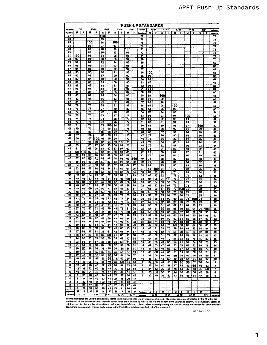| -<br>Republicing<br>77<br>76 | M        | F         |          |          | <b>PUSH-UP STANDARDS</b><br>$17 - 21$<br>$22 - 26$<br>$27 - 31$<br>32-36<br>$37 - 41$<br>$42 - 16$<br>47-51<br>52-56<br>$57 - 61$<br>$62 +$<br><b>AND ROOMS</b> |           |          |          |           |          |                   |          |          |          |          |          |          |          |          |           |           |                             |
|------------------------------|----------|-----------|----------|----------|-----------------------------------------------------------------------------------------------------------------------------------------------------------------|-----------|----------|----------|-----------|----------|-------------------|----------|----------|----------|----------|----------|----------|----------|----------|-----------|-----------|-----------------------------|
|                              |          |           | M        | F        | ĸ                                                                                                                                                               | F         | N        | F        | Μ         | F        | <b>Republican</b> | м        | F        | M        | F        | M        | F        | ĸ        | F        | M         | F         | 100 000<br><b>Recention</b> |
|                              |          |           |          |          | 100                                                                                                                                                             |           |          |          |           |          | 77                |          |          |          |          |          |          |          |          |           |           | 77                          |
|                              |          |           |          |          | 99                                                                                                                                                              |           |          |          |           |          | 76                |          |          |          |          |          |          |          |          |           |           | 76                          |
| 75                           |          |           | 100      |          | 98                                                                                                                                                              |           | 100      |          |           |          | 75                |          |          |          |          |          |          |          |          |           |           | 75                          |
| 74                           |          |           | 99       |          | 97                                                                                                                                                              |           | 99       |          |           |          | 74                |          |          |          |          |          |          |          |          |           |           | 74                          |
| 73<br>72                     |          |           | 98<br>97 |          | 98<br>95                                                                                                                                                        |           | 98<br>97 |          | 100<br>99 |          | 73                |          |          |          |          |          |          |          |          |           |           | 73                          |
| 71                           | 100      |           | 95       |          | 94                                                                                                                                                              |           | 98       |          | 98        |          | 72<br>71          |          |          |          |          |          |          |          |          |           |           | 72<br>71                    |
| 70                           | 99       |           | 94       |          | 93                                                                                                                                                              |           | 96       |          | 97        |          | 70                |          |          |          |          |          |          |          |          |           |           | 70                          |
| 69                           | 97       |           | 93       |          | 92                                                                                                                                                              |           | 94       |          | 96        |          | 69                |          |          |          |          |          |          |          |          |           |           | 69                          |
| 68                           | 96       |           | 92       |          | 91                                                                                                                                                              |           | 93       |          | 95        |          | 68                |          |          |          |          |          |          |          |          |           |           | 68                          |
| 67                           | 94       |           | 91       |          | 89                                                                                                                                                              |           | 92       |          | 94        |          | 67                |          |          |          |          |          |          |          |          |           |           | 67                          |
| 66<br>65                     | 93<br>92 |           | 90<br>89 |          | 88                                                                                                                                                              |           | 91<br>90 |          | 93        |          | 66                | 100      |          |          |          |          |          |          |          |           |           | 66                          |
| 64                           | 90       |           | 87       |          | 87<br>86                                                                                                                                                        |           | 89       |          | 92<br>91  |          | 65<br>64          | 99<br>98 |          |          |          |          |          |          |          |           |           | 65<br>64                    |
| 63                           | 89       |           | 88       |          | 85                                                                                                                                                              |           | 88       |          | 90        |          | 63                | 97       |          |          |          |          |          |          |          |           |           | 63                          |
| 62                           | 88       |           | 85       |          | 84                                                                                                                                                              |           | 87       |          | 89        |          | 62                | 96       |          |          |          |          |          |          |          |           |           | 62                          |
| 61                           | 86       |           | 84       |          | 83                                                                                                                                                              |           | 88       |          | 88        |          | 61                | 94       |          |          |          |          |          |          |          |           |           | 61                          |
| 60                           | 85       |           | 83       |          | 82                                                                                                                                                              |           | 85       |          | 87        |          | 60                | 93       |          |          |          |          |          |          |          |           |           | 60                          |
| 59<br>58                     | 83<br>82 |           | 82<br>81 |          | 81                                                                                                                                                              |           | 84       |          | 88        |          | 59                | 92       |          | 100      |          |          |          |          |          |           |           | 59                          |
| 57                           | 81       |           | 79       |          | 80<br>79                                                                                                                                                        |           | 83<br>82 |          | 85<br>84  |          | 58<br>57          | 91<br>90 |          | 99<br>98 |          |          |          |          |          |           |           | 58                          |
| 56                           | 79       |           | 76       |          | 78                                                                                                                                                              |           | 81       |          | 83        |          | 56                | 89       |          | 98       |          | 100      |          |          |          |           |           | 57<br>56                    |
| 55                           | 78       |           | 77       |          | 77                                                                                                                                                              |           | 79       |          | 82        |          | 55                | 88       |          | 95       |          | 99       |          |          |          |           |           | 55                          |
| 54                           | 77       |           | 76       |          | 76                                                                                                                                                              |           | 78       |          | 81        |          | 54                | 87       |          | 94       |          | 88       |          |          |          |           |           | 54                          |
| 53                           | 75       |           | 75       |          | 75                                                                                                                                                              |           | 77       |          | 79        |          | 53                | 86       |          | 93       |          | 97       |          | 100      |          |           |           | 53                          |
| 52                           | 74       |           | 74       |          | 74                                                                                                                                                              |           | 76       |          | 78        |          | 52                | 84       |          | 92       |          | 98       |          | 99       |          |           |           | 52                          |
| 51<br>50                     | 72       |           | 73<br>71 |          | 73                                                                                                                                                              |           | 75       |          | -77       |          | 51                | 83       |          | 91       |          | 94       |          | 98       |          |           |           | 51                          |
| 49                           | 71<br>70 |           | 70       |          | 72<br>71                                                                                                                                                        | 100<br>99 | 74<br>73 |          | 76<br>75  |          | 50<br>49          | 82<br>81 |          | 89<br>88 |          | 93<br>92 |          | 97<br>95 |          | 100<br>99 |           | 50<br>49                    |
| 48                           | 68       |           | 69       |          | 69                                                                                                                                                              | 98        | 72       |          | 74        |          | 48                | 80       |          | 87       |          | 91       |          | 94       |          | 98        |           | 48                          |
| 47                           | 67       |           | 68       |          | 68                                                                                                                                                              | 98        | 71       |          | 73        |          | 47                | 79       |          | 86       |          | 90       |          | 93       |          | 96        |           | 47                          |
| 46                           | 66       |           | 67       | 100      | 67                                                                                                                                                              | 95        | 70       |          | 72        |          | 46                | 78       |          | 85       |          | 89       |          | 92       |          | 95        |           | 46                          |
| 45                           | 64       |           | 66       | 99       | 86                                                                                                                                                              | 94        | 69       | 100      | 71        |          | 45                | 77       |          | 84       |          | 88       |          | 91       |          | 94        |           | 45                          |
| 44                           | 83       |           | 65       | 97       | 65                                                                                                                                                              | 93        | 68       | 99       | 70        |          | 44                | 78       |          | 82       |          | 87       |          | 90       |          | 93        |           | 44                          |
| 43                           | 61       |           | 63       | 96       | 64                                                                                                                                                              | 92        | 67       | 97       | 69        |          | 43                | 74       |          | 81       |          | 86       |          | 89       |          | 92        |           | 43                          |
| 42<br>41                     | 60<br>59 | 100<br>98 | 62<br>61 | 94<br>93 | 63<br>62                                                                                                                                                        | 90<br>89  | 68<br>65 | 96       | 68<br>67  |          | 42                | 73       |          | 80       |          | 84       |          | 87       |          | 91        |           | 42                          |
| 40                           | 57       | 97        | 60       | 92       | 81                                                                                                                                                              | 88        | 64       | 95<br>93 | 88        | 100      | 41<br>40          | 72<br>71 |          | 79<br>78 |          | 83<br>82 |          | 86<br>85 |          | 89<br>88  |           | 41<br>40                    |
| 39                           | 56       | 95        | 59       | 90       | 60                                                                                                                                                              | 87        | 63       | 92       | 65        | 99       | 39                | 70       |          | 76       |          | 81       |          | 84       |          | 67        |           | 39                          |
| 38                           | 54       | 93        | 58       | 89       | 59                                                                                                                                                              | 85        | 62       | 91       | 64        | 97       | 38                | 69       |          | 75       |          | 80       |          | 83       |          | 86        |           | 38                          |
| 37                           | 53       | 91        | 57       | 88       | 58                                                                                                                                                              | 84        | 61       | 89       | 63        | 98       | 37                | 68       | 100      | 74       |          | 79       |          | 82       |          | 85        |           | 37                          |
| 36                           | 52       | 90        | 55       | 86       | 57                                                                                                                                                              | 83        | 60       | 88       | 62        | 94       | 36                | 67       | 98       | 73       |          | 78       |          | 81       |          | 84        |           | 36                          |
| 35                           | 50       | 88        | 54       | 85       | 56                                                                                                                                                              | 82        | 59       | 87       | 81        | 93       | 35                | 66       | 97       | 72       |          | 77       |          | 79       |          | 82        |           | 35                          |
| 34<br>33                     | 49       | 88        | 53       | 83       | 55                                                                                                                                                              | 81        | 58       | 85       | 60        | 91       | 34                | 64       | 95       | 71       | i100     | 76       |          | 78       |          | 81        |           | 34                          |
| 32                           | 48<br>46 | 84<br>83  | 52<br>51 | 82<br>81 | 54<br>53                                                                                                                                                        | 79<br>78  | 57<br>56 | 84<br>83 | 59<br>58  | 90<br>88 | 33<br>32          | 63<br>62 | 94<br>92 | 69<br>68 | 98<br>97 | 74<br>73 |          | 77<br>76 |          | 80<br>79  |           | 33                          |
| 31                           | 45       | 81        | 50       | 79       | 52                                                                                                                                                              | 77        | 55       | 81       | 57        | 87       | 31                | 61       | 90       | 67       | 95       | 72       | 100      | 75       |          | 78        |           | 32<br>31                    |
| 30                           | 43       | 79        | 49       | 78       | 50                                                                                                                                                              | 76        | 54       | 80       | 56        | 85       | 30                | 60       | 89       | 68       | 93       | 71       | 98       | 74       |          | 76        |           | 30                          |
| 29                           | 42       | 77        | 47       | 77       | 49                                                                                                                                                              | 75        | 53       | 79       | 55        | 84       | 29                | 59       | 87       | 65       | 92       | 70       | 98       | 73       |          | 75        |           | 29                          |
| 28                           | 41       | 76        | 46       | 75       | 48                                                                                                                                                              | 73        | 52       | 77       | 54        | 82       | 28                | 58       | 88       | 64       | 90       | 89       | 95       | 71       | 100      | 74        |           | 28                          |
| 27                           | 39       | 74        | 45       | 74       | 47                                                                                                                                                              | 72        | 51       | 76       | 53        | 81       | 27                | 57       | 84       | 62       | 88       | 68       | 93       | 70       | 98       | 73        |           | 27                          |
| 26                           | 38       | 72        | 44       | 72       | 46                                                                                                                                                              | 71        | 50       | 75       | 52        | 79       | 26                | 56       | 82       | 61       | 87       | 67       | 91       | 69       | 96       | 72        |           | 26                          |
| 25<br>24                     | 37<br>35 | 70<br>69  | 43<br>42 | 71<br>70 | 45<br>44                                                                                                                                                        | 70<br>68  | 49<br>48 | 73       | 51        | 78       | 25                | 54       | 81       | 60       | 85       | 88       | 89       | 68       | 94       | 71        | 100       | 25                          |
| 23                           | 34       | 67        | 41       | 68       | t3                                                                                                                                                              | 67        | 47       | 72       | 50<br>49  | 76       | 24                | 53<br>52 | 70<br>78 | 59<br>58 | 83       | 84<br>63 | 87<br>85 | 67       | 92       | 69<br>66  | 98        | 24                          |
| 22                           | 32       | 65        | 39       | 67       | 42                                                                                                                                                              | 66        | 48       | 69       | 48        | 73       | 22                | 51       | 76       | 56       | u.<br>BO | 62       | 84       | ∞<br>85  | ນບ<br>88 | 67        | স্ত<br>93 | 43<br>22                    |
| 21                           | 31       | 63        | 38       | 66       | 41                                                                                                                                                              | 65        | 45       | 68       | 47        | 72       | 21                | 50       | 74       | 55       | 78       | 81       | 82       | 63       | 86       | œ         | 91        | 21                          |
| 20                           | 30       | 62        | 37       | 84       | 40                                                                                                                                                              | 64        | 44       | 67       | 48        | 70       | 20                | 49       | 73       | 54       | 77       | 60       | 80       | 62       | 84       | 65        | 89        | 20                          |
| 19                           | 28       | 60        | 36       | 63       | 39                                                                                                                                                              | 62        | 43       | 65       | 45        | 69       | 19                | 48       | 71       | 53       | 75       | 59       | 78       | 61       | 82       | 64        | 87        | 19                          |
| 18                           | 27       | 58        | 35       | 61       | 38                                                                                                                                                              | 61        | 42       | 64       | 44        | 87       | 18                | 47       | 70       | 52       | 73       | 58       | 78       | 60       | 80       | 62        | 84        | 18                          |
| 17<br>16                     | 26<br>24 | 57<br>55  | 34<br>33 | 60<br>59 | 37<br>36                                                                                                                                                        | 60<br>59  | 41<br>39 | 63       | 43        | 66       | 17                | 46       | 68       | 51.      | 72       | 57       | 75       | 59       | 78       | 61        | 82        | 17                          |
| 15                           | 23       | 53        | 31       | 57       | 35                                                                                                                                                              | 58        | 38       | 61<br>60 | 42<br>41. | 84<br>63 | 16<br>15          | 44<br>43 | 68<br>65 | 49<br>48 | 70<br>68 | 58<br>54 | 73<br>71 | 58       | 76       | 60        | 80        | 16<br>15                    |
| 14                           | 21       | 51        | 30       | 56       | 34                                                                                                                                                              | 56        | 37       | 59       | 39        | 61       | 14                | 42       | 63       | 47       | 67       | 53       | 69       | 57<br>55 | 74<br>72 | 59<br>58  | 78<br>76  | 14                          |
| 13                           | 20       | 50        | 29       | 54       | 33                                                                                                                                                              | 55        | 38       | 58       | 38.       | 60       | 13                | 41       | 62       | 48       | 65       | 52       | 87       | 54       | 70       | 56        | 73        | 13                          |
| 12                           | 19       | 48        | 28       | 52       | 32                                                                                                                                                              | 54        | 35       | 56       | 37        | 59       | 12                | 40       | 60       | 45       | 63       | 51       | 65       | 53.      | 68       | 55        | 71        | 12                          |
| 11                           | 17       | 48        | 27       | 50       | 31                                                                                                                                                              | 52        | 34       | 54       | 36        | 57       | 11                | 39       | 58       | 44       | 62       | 50       | 64       | 52       | 66       | 54        | 69        | 11                          |
| 10                           | 10       | 44        | 26       | 49       | 29                                                                                                                                                              | 50        | 33       | 52       | 35        | 56       | 10                | 38       | 57       | 42       | 60       | 49       | 62       | 51       | 64       | 53        | 87        | 10                          |
| 9                            | 14       | 43        | 25       | 49       | 28                                                                                                                                                              | 49        | 32       | 50       | 34        | 54       | 9                 | 37       | 55       | 41       | 58       | 48       | 60       | 50       | 62       | 52        | 64        | 9                           |
| 8                            | 13       | 41        | 23       | 48       | 27                                                                                                                                                              | 49        | 31       | 49       | 33        | 53       | 8                 | 36       | 54       | 40       | 57       | 47       | 58       | 49       | 60       | 51        | 62        | 8                           |
| 7<br>6                       | 12       | 39        | 22       | 46       | 26                                                                                                                                                              | 48        | 30       | 49       | 32        | 51       | 7                 | 34       | 52       | 39       | 55       | 48       | 56       | 47       | 58       | 49        | 60        | 7                           |
| 5                            | 10<br>9  | 37<br>36  | 21<br>20 | 45<br>43 | 25<br>24                                                                                                                                                        | 47<br>45  | 29       | 48<br>47 | 31:<br>30 | 50<br>48 | 6                 | 33       | 50       | 38       | 53       | 44       | 55       | 46       | 56       | 48        | 58        | 6                           |
| 4                            | 8        | 34        | 19       | 42       | 23                                                                                                                                                              | 44        | 28<br>27 | 45       | 29        | 47       | 5                 | 32       | 49       | 36       | 52       | 43       | 53       | 45       | 54       | 47.       | 56        | 5                           |
|                              | 6        | 32        | 18       | 41       | 22                                                                                                                                                              | 43        | 26       | 44       | 28        | 45       |                   |          |          |          |          |          |          |          |          |           |           |                             |
|                              |          |           |          |          |                                                                                                                                                                 |           |          |          |           | 44       |                   |          |          |          |          |          |          |          |          |           |           |                             |
| з<br>2                       | 5        | 30        | 17       | 39       | 21                                                                                                                                                              | 42        | 25       | 43       | 27        |          |                   |          |          |          |          |          |          |          |          |           |           |                             |
| 1<br>Repetitions             | з<br>м   | 29<br>F   | 15<br>M  | 38<br>F  | 20                                                                                                                                                              | 41        | 24       | 41       | 26        | 42       |                   |          |          |          |          |          |          |          |          |           |           |                             |

Scoring standards are used to convent raw scores to point scores after test events are completed. Male point scores are indicated by the M at the top<br>and bottom of the shaded column. Female point scores are indicated by th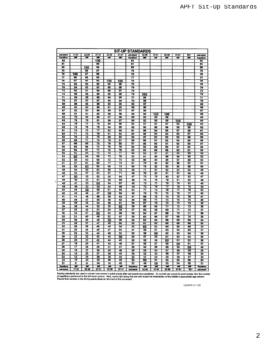| AGE OROUP         | $17 - 21$       | $22 - 26$       | $27 - 31$  | 32-36           | $37 - 41$ | <b>AGE GROUP</b> | 42.46                   | $47-51$ | 52-56 | 57-61           | $-12+$   | AGE GROUP   |
|-------------------|-----------------|-----------------|------------|-----------------|-----------|------------------|-------------------------|---------|-------|-----------------|----------|-------------|
| <b>Republices</b> | w               | w               | <b>LUF</b> | WF              | w         | Romatic          | w                       | MF      | w     | WF              | WF       | Repetitions |
| 82                |                 |                 | 100        |                 |           | 82               |                         |         |       |                 |          |             |
| 81                |                 |                 | 99         |                 |           | 81               |                         |         |       |                 |          |             |
| 80                |                 | 100             | 98         |                 |           | 80               |                         |         |       |                 |          |             |
| 79                |                 | 99              | 97         |                 |           | 79               |                         |         |       |                 |          |             |
| 78                | 100             | 97              | 98         |                 |           | 78               |                         |         |       |                 |          |             |
| 77                | 98              | $\overline{96}$ | 95         |                 |           | 77               |                         |         |       |                 |          |             |
| 76                | 97              | 95              | 94         | 100             | 100       | 76               |                         |         |       |                 |          |             |
| 75                | 95              | 93              | 92         | 99              | 99        | 75               |                         |         |       |                 |          |             |
| 74                | 94              | 92              | 91         | 98              | 98        | 74               |                         |         |       |                 |          |             |
| 73                | 92              | 91              | 90         | $\overline{96}$ | 97        | 73               |                         |         |       |                 |          |             |
| 72                | 90              | 89              | 89         | 95              | 96        | 72               | 100                     |         |       |                 |          |             |
| 71                | 89              | 88              | 88         | 94              | 95        | 71               | 99                      |         |       |                 |          |             |
| 70                | 87              | 87              | 87         | 93              | 94        | 70               | 98                      |         |       |                 |          |             |
| 69                | 86              | 85              | 86         | 92              | 93        | 69               | 97                      |         |       |                 |          |             |
| 68                | 84              | 84              | 85         | 91              | 92        | 68               | 96                      |         |       |                 |          |             |
| 67                | 82              | 83              | 84         | 89              | 91        | 67               | 95                      |         |       |                 |          |             |
| 66                | $\overline{31}$ | 81              | 83         | 88              | 89        | 66               | ਕ                       | 100     | 100   |                 |          |             |
| 65                | 79              | 80              | 82         | 87              | 88        | 65               | 93                      | 99      | 99    |                 |          |             |
| 64                | 78              | 79              | 81         | 86              | 87        | 64               | 92                      | 98      | 98    | 100             |          |             |
| 63                | 78              | 77              | 79         | 85              | 86        | 63               | 91                      | 97      | 97    | 99              | 100      |             |
| 62                | 74              | 76              | 78         | 84              | 85        | 62               | BO                      | 96      | 95    | 98              | 99       |             |
| 61                | 73              | 75              | 77         | 82              | 84        | 61               | 89                      | 94      | 95    | 97              | 98       |             |
| 60                | 71              | 73              | 76         | 81              | 83        | 60               | 88                      | 93      | 94    | 96              | 97       |             |
| 59                | 70              | 72              | 75         | 80              | 82        | 59               | 87                      | 92      | 93    | 95              | 96       |             |
| 58                | 68              | 71              | 74         | 79              | 81        | 58               | 86                      | 91      | 92    | 94              | 95       |             |
| 57                | 66              | 69              | 73         | 78              | 80        | 57               | 85                      | 90      | 91    | 92              | 94       |             |
| 56                | 65              | 68              | 72         | 76              | 79        | 56               | 84                      | 89      | 89    | 91              | 92       |             |
| 55                | 63              | 67              | 71         | 75              | 78        | 55               | $\overline{63}$         | 88      | 88    | 50              | 91       |             |
| 54                | 62              | 65              | 70         | 74              | 77        | 54               | 82                      | 87      | 87    | 89              | 90       |             |
| 53                | 60              | 64              | 69         | 73              | 78        | 53               | 81                      | 86      | 96    | 88              | 89       |             |
| 52                | 58              | 63              | 68         | 72              | 75        | 52               | 80                      | 84      | 85    | $\overline{37}$ | 88       |             |
| 31                | 57              | 61              | 66         | 71              | 74        | 51               | 79                      | 83      | 84    | 86              | 87       |             |
| 50                | 65              | 60              | 65         | 69              | 73        | 50               | 78                      | 82      | 83    | 85              | 86       |             |
| 49                | 54              | 59              | 64         | 68              | 72        | 49               | 77                      | 81      | 82    | 84              | 85       |             |
| 48                | 52              | 57              | 63         | 67              | 71        | 48               | 76                      | 80      | 81    | 83              | 84       |             |
| 47                | 50              | 56              | 62         | 66              | 69        | 47               | 75                      | 79      | 80    | 82              | 83       |             |
| 46                | 49              | 55              | 61         | 85              | 68        | 46               | 74                      | 78      | 79    | 81              | 82       |             |
| 45                | 47              | 53              | 60         | 84              | 67        | 45               | 73                      | 77      | 78    | 79              | 81       |             |
| 44                | 46              | 52              | 59         | 62              | 68        | 44               | 72                      | 76      | 77    | 78              | 79       |             |
| 43                | 44              | 50              | 58         | 61              | 65        | 43               | 71                      | 74      | 76    | 77              | 78       |             |
| 42                | 42              | 49              | 57         | 60              | 64        | 42               | 70                      | 73      | 75    | 76              | 77       |             |
| 41                | 41              | 48              | 56         | 59              | 63        | 41               | 69                      | 72      | 74    | 75              | 76       |             |
| 40                | 39<br>38        | 47              | 55         | 58              | 82        | 40               | 68                      | 71      | 73    | 74              | 75       |             |
| 39<br>38          | 36              | 45<br>44        | 54         | 56              | 61        | 39               | 67                      | 70      | 72    | 73              | 74       |             |
|                   |                 |                 | 52         | 55              | 60        | 38               | 66                      | 69      | 71    | 72              | 73       |             |
| 37<br>36          | 34              | 43              | 51         | 54              | 59        | 37               | 65                      | 68      | 69    | 71              | 72       |             |
|                   | 33              | 41              | 50         | 53              | 58        | 36               | $\overline{\mathbf{c}}$ | 67      | 68    | 70              | 71       |             |
| 35                | 31              | 40              | 49         | 52              | 67        | 35               | 63                      | 66      | 67    | 69              | 70       |             |
| 34<br>33          | 30<br>28        | 39<br>37        | 48         | 50<br>49        | 56        | 34               | 62                      | 84      | 66    | 65              | 69       |             |
| 32                | 26              | 36              | 47<br>46   | 48              | 55<br>54  | 33               | 61                      | 63      | 65    | 68              | 68       |             |
|                   |                 |                 |            |                 |           | 32               | 60                      | 62      | 64    | 65              | ē5       |             |
| 31                | 25<br>23        | 35              | 45         | 47              | 53        | 31               | 59                      | 61      | 63    | 64              | 65       |             |
| 30<br>29          | 22              | 33<br>32        | 44<br>43   | 46              | 52        | 30               | 58                      | 60      | 62    | 63              | 84       |             |
|                   |                 |                 |            | 45              | 50        | 29               | 57                      | 59      | 81    | 62              | 63       |             |
| 28                | 20              | 31              | 42         | 44              | 49        | 28               | 56                      | 58      | 60    | 61              | 62       |             |
| 27                | 18              | 29              | 41         | 42              | 48        | 27               | 55                      | 57      | 59    | 60              | 61       |             |
| 26                | 17              | 28              | 39         | 41              | 47        | 26               | 54                      | 58      | 58    | 59              | 60       |             |
| 25                | 15              | 27              | 38         | 40              | 48        | 25               | 53                      | 54      | 57    | 59              | 59       |             |
| 24                | 14              | 25              | 37         | 39              | 45        | 24               | 52                      | 53      | 56    | 57              | 58       |             |
| 23                | 12<br>10        | 24<br>23        | 38<br>35   | 38<br>35        | 44<br>43  | 23<br>22         | 51                      | 52      | 55    | 56<br>55        | 57<br>58 |             |
|                   |                 |                 |            |                 |           |                  | 50                      | 51      | 54    |                 |          |             |
| 22<br>21          | 9               | 21              | 34         | 35              | 42        | 21               | 49                      | 50      | 53    | 54              | 55       |             |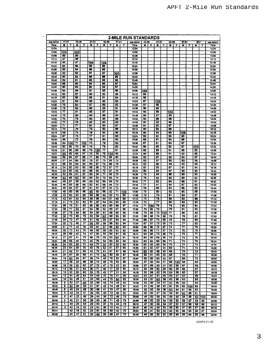| <b>2-MILE RUN STANDARDS</b> |           |          |        |           |     |                |               |       |     |           |     |           |           |       |           |         |                         |     |                     |     |           |     |           |
|-----------------------------|-----------|----------|--------|-----------|-----|----------------|---------------|-------|-----|-----------|-----|-----------|-----------|-------|-----------|---------|-------------------------|-----|---------------------|-----|-----------|-----|-----------|
| ADE GROUP                   | $17 - 21$ |          |        | $22 - 26$ |     | $27 - 31$      |               | 32-38 |     | $37 - 41$ |     | AGE OROUP | $42 - 46$ |       | 47-51     |         | 52-56                   |     | $57 - 61$           |     | ez+       |     | AGE CROUP |
| Time                        | м         | f        |        | M         | .F  | M              | F             | M     | F   | 慧         | F   | Time      | м         | F     | M         | ΪF.     | м                       | F   | M                   | F   | M         | F   | Time      |
| 12:54                       |           |          |        |           |     |                |               |       |     |           |     | 12:54     |           |       |           |         |                         |     |                     |     |           |     | 12:54     |
| 13:00                       | 100       |          |        | 100       |     |                |               |       |     |           |     | 13:00     |           |       |           |         |                         |     |                     |     |           |     | 13:00     |
| 13:06                       | 99        |          |        | 99        |     |                |               |       |     |           |     | 13:05     |           |       |           |         |                         |     |                     |     |           |     | 13:06     |
| 13:12                       | 97        |          |        | 98        |     |                |               |       |     |           |     | 13:12     |           |       |           |         |                         |     |                     |     |           |     | 13:12     |
| 13:18                       | 86        |          |        | 97        |     | 1100           |               | 100   |     |           |     | 13:18     |           |       |           |         |                         |     |                     |     |           |     | 13:15     |
| 13:24                       | 94        |          |        | 96        |     | 99             |               | 99    |     |           |     | 13:24     |           |       |           |         |                         |     |                     |     |           |     | 13:24     |
| 13:30                       | B         |          |        | 94        |     | 98             |               | 98    |     |           |     | 13:30     |           |       |           |         |                         |     |                     |     |           |     | 13:30     |
| 13:36                       | 92        |          |        | 93        |     | 97             |               | 97    |     | 100       |     | 13:36     |           |       |           |         |                         |     |                     |     |           |     | 13:36     |
| 13:42                       | 90        |          |        | 82        |     | 98             |               | 98    |     | 99        |     | 13:42     |           |       |           |         |                         |     |                     |     |           |     | 13:42     |
| 13:43                       | 89        |          |        | 91        |     | 95             |               | 95    |     | 98        |     | 13:48     |           |       |           |         |                         |     |                     |     |           |     | 13:48     |
| 13:54                       | 88        |          |        | 90        |     | $\overline{0}$ |               | 95    |     | 97        |     | 13:54     |           |       |           |         |                         |     |                     |     |           |     | 13:54     |
| 14:00                       | 86        |          |        | 89        |     | 92             |               | 94    |     | 97        |     | 14:00     |           |       |           |         |                         |     |                     |     |           |     | 14,00     |
| 14:06                       | 85        |          |        | 88        |     | 91             |               | 93    |     | 96        |     | 14:06     | 100       |       |           |         |                         |     |                     |     |           |     | 14:06     |
| 14:12                       | 83        |          |        | 87        |     | 80             |               | 92    |     | 95        |     | 14:12     | 99        |       |           |         |                         |     |                     |     |           |     | 14:12     |
| 14:18                       | 82        |          |        | BE        |     | 89             |               | 91    |     | 94        |     | 14:18     | 98        |       |           |         |                         |     |                     |     |           |     | 14:18     |
|                             | 81        |          |        | 84        |     | 88             |               | 90    |     | 93        |     |           | 97        |       |           |         |                         |     |                     |     |           |     |           |
| 14:24                       |           |          |        |           |     |                |               |       |     |           |     | 14:24     |           |       | 100       |         |                         |     |                     |     |           |     | 14:24     |
| 14:30                       | 79        |          |        | 83        |     | 87             |               | 89    |     | 92        |     | 14:30     | 97        |       | 99        |         |                         |     |                     |     |           |     | 14:30     |
| 14:36                       | 76        |          |        | 82        |     | 86             |               | 88    |     | 91        |     | 14:36     | 96        |       | 98        |         |                         |     |                     |     |           |     | 14:36     |
| 14:42                       | 77        |          |        | 81        |     | 85             |               | 87    |     | 91        |     | 14:42     | 95        |       | 98        |         | 100                     |     |                     |     |           |     | 14:42     |
| 14:46                       | 75        |          |        | 80        |     | 84             |               | 86    |     | 90        |     | 14:48     | 94        |       | 97        |         | 99                      |     |                     |     |           |     | 14:48     |
| 14:54                       | 74        |          |        | 79        |     | 83             |               | 85    |     | 89        |     | 14:54     | 93        |       | 96        |         | 98                      |     |                     |     |           |     | 14:54     |
| 15:00                       | 72        |          |        | 78        |     | 82             |               | 85    |     | 88        |     | 15:00     | 92        |       | 95        |         | 98                      |     |                     |     |           |     | 15:00     |
| 15:06                       | 71        |          |        | 77        |     | 81             |               | 64    |     | 87        |     | 15:06     | 91        |       | 95        |         | 97                      |     |                     |     |           |     | 15:06     |
| 15:12                       | 70        |          |        | 76        |     | 79             |               | 83    |     | æ         |     | 15:12     | 90        |       | 94        |         | 96                      |     |                     |     |           |     | 15:12     |
| 15:18                       | 68        |          |        | 74        |     | 78             |               | 82    |     | 86        |     | 15:18     | 90        |       | 93        |         | 95                      |     | 100                 |     |           |     | 15:18     |
| 15:24                       | 67        |          |        | 73        |     | 77             |               | 81    |     | 85        |     | 15:24     | 89        |       | 92        |         | 95                      |     | 99                  |     |           |     | 15:24     |
| 15:30                       | 66        |          |        | 72        |     | 76             |               | 80    |     | 84        |     | 15:30     | 88        |       | 91        |         | 94                      |     | 98                  |     |           |     | 15:30     |
| 15:36                       | 64        |          | 100171 |           | 100 | 75             |               | 79    |     | 83        |     | 15:36     | 87        |       | 91        |         | $\overline{\mathbf{g}}$ |     | 97                  |     |           |     | 15:36     |
| 15:42                       | 63        | 99       |        | 70        | 99  | 74             |               | 78    |     | 82        |     | 15:42     | 86        |       | 90        |         | 92                      |     | 97                  |     | 100       |     | 15:42     |
| 15:48                       | 61        | 98       |        | 69        | 98  | 73             | $100^{\circ}$ | - 77  |     | 81        |     | 15:48     | 85        |       | 89        |         | 91                      |     | 96                  |     | 99        |     | 15:48     |
|                             |           |          |        |           |     |                |               |       |     |           |     |           |           |       |           |         |                         |     |                     |     |           |     |           |
| 15:54                       | 60        | 96       |        | 68        | 97  | 72             | 99            | 76    | 100 | 80        |     | 15.54     | 84        |       | 88        |         | 91                      |     | 95                  |     | 98        |     | 15,54     |
| 16:00                       | 59        | 95       |        | 67        | 96  | 71             | 98            | 75    | 99  | 80        |     | 18:00     | 83        |       | 87        |         | 90                      |     | 94                  |     | 97        |     | 15:00     |
| 16:06                       | 57        | 94       |        | 66        | 95  | 70             | 97            | 75    | 99  | 79        |     | 15:06     | 83        |       | 87        |         | 89                      |     | 93                  |     | 96        |     | 16:05     |
| 16:12                       | 56        | 93       |        | 64        | 94  | 69             | 97            | 74    | 98  | 78        |     | 18:12     | 82        |       | 86        |         | 88                      |     | 92                  |     | 95        |     | 18:12     |
| 16:16                       | 54        | 92       |        | 63        | 93  | 68             | 96            | 73    | 97  | 77        |     | 16:18     | 81        |       | 85        |         | 87                      |     | 91                  |     | 94        |     | 16:18     |
| 16:24                       | 53        | 90       |        | 62        | 92  | 66             | 95            | 72    | 97  | 76        |     | 16:24     | 80        |       | 84        |         | 87                      |     | 90                  |     | 83        |     | 16:24     |
| 16:30                       | 32        | 89       |        | 61        | 91  | 65             | 94            | 71    | 96  | 75        |     | 16:30     | 79        |       | <b>B4</b> |         | 86                      |     | 90                  |     | 93        |     | 18:30     |
| 16:36                       | 50        | 88       |        | 60        | 90  | 64             | 93            | 70    | 95  | 74        |     | 16:36     | 78        |       | 83        |         | 85                      |     | 89                  |     | 92        |     | 16:36     |
| 16:42                       | 49        | 87       |        | 59        | 89  | 63             | 92            | 69    | 94  | 74        |     | 18:42     | 77        |       | 82        |         | 84                      |     | 88                  |     | 91        |     | 16:42     |
| 16:46                       | 48        | 85       |        | 56        | 88  | 62             | 91            | 68    | 94  | 73        |     | 16:48     | 77        |       | 81        |         | 84                      |     | 87                  |     | 90        |     | 16:48     |
| 16:54                       | 46        | 84       |        | 57        | 87  | 61             | 91            | 67    | 93  | 72        |     | 16:54     | 76        |       | 80        |         | 83                      |     | 86                  |     | 89        |     | 16:54     |
| 17:00                       | 45        | 83       |        | 56        | 86  | 60             | 90            | 66    | 92  | 71        | 100 | 17:00     | 75        |       | 80        |         | 82                      |     | 85                  |     | 88        |     | 17:00     |
| 17:06                       | 43        | 82       |        | 54        | 85  | 59             | 89            | 65    | 92  | 70        | 99  | 17:08     | 74        |       | 79        |         | 81                      |     | 84                  |     | 87        |     | 17:06     |
| 17:12                       | 42        | 81       |        | 53        | 84  | 58             | 88            | 65    | 91  | 69        | 99  | 17:12     | 73        |       | 78        |         | 80                      |     | 83                  |     | 86        |     | 17:12     |
| 17:18                       | 41        | 79       |        | 52        | 83  | 57             | 87            | 64    | 90  | 69        | 98  | 17:18     | 72        |       | 77        |         | 80                      |     | 83                  |     | 85        |     | 17:18     |
| 17:24                       | 39        | 78       |        | 51        | 82  | 56             | 86            | 63    | 90  | 88        | 97  | 17:24     | 71        | 100 I | 76        |         | 79                      |     | 82                  |     | 84        |     | 17:24     |
| 17:30                       | 38        | 77       |        | 50        | 81  | 55             | 86            | 62    | 89  | -67       | 96  | 17:30     | 70        | 99    | 76        |         | 78                      |     | 81                  |     | 83        |     |           |
|                             |           |          |        |           |     |                |               |       |     |           |     |           |           |       |           |         |                         |     |                     |     |           |     | 17:30     |
| 17:38                       | 37        | 76       |        | 49        | 80  | 54             | 85            | 61    | 88  | 66        | 96  | 17:36     | 70        | 99    |           | 75 1100 | 77                      |     | 80                  |     | <b>B2</b> |     | 17:36     |
| 17:42                       | 35        | 75       |        | 48        | 79  | 52             | 84            | 60    | 88  | 65        | 95  | 17:42     | 69        | 98    | 74        | 99      | 76                      |     | 79                  |     | 81        |     | 17:42     |
| 17:48                       | 34        | 73       |        | 47        | 78  | -51            | 83            | 59    | 87  | 64        | 94  | 17:48     | 68        | 97    | 73        | 99      | 76                      |     | 78                  |     | 80        |     | 17:48     |
| 17:54                       | 32        | 72       |        | 46        | 77  | 50             | 82            | 58    | 86  | 63        | 94  | 17:54     | 67        | 97    | 73        | 98      | 75                      |     | $\overline{\bf 77}$ |     | 80        |     | 17:54     |
| 18:00                       | 31        | 71       |        | 44        | 76  | 49             | 81            | 57    | 86  | 63        | 93  | 18:00     | 66        | 96    | 72        | 97      | 74                      |     | 77                  |     | 79        |     | 18:00     |
| 18:00                       | 30        | 70       |        | 43        | 75  | 48             | 80            | 56    | 85  | 62        | 92  | 18:06     | 65        | 96    | 71        | 97      | 73                      |     | 76                  |     | 78        |     | 18:06     |
| 18:12                       | 28        | 68       |        | 42        | 74  | 47             | 80            | 55    | 84  | 61        | 92  | 18:12     | 64        | 95    | 70        | 96      | 73                      |     | 75                  |     | 77        |     | 18:12     |
| 18:18                       | 27        | 67       |        | 41        | 73  | 46             | 79            | 55    | 83  | 60        | 91  | 18:18     | 63        | 94    | 69        | 96      | 72                      |     | 74                  |     | 76        |     | 18:18     |
| 18:24                       | 26        | 66       |        | 40        | 72  | 45             | 78            | 54    | 83  | -59       | 90  | 18:24     | 63        | 94    | 69        | 95      | 71                      |     | 73                  |     | 75        |     | 18:24     |
| 18:30                       | 24        | 65       |        | 39        | 71  | 44             | 77            | 53    | 82  | 58        | 89  | 18:30     | 62        | 93    | 68        | 94      | 70                      |     | 72                  |     | 74        |     | 18:30     |
| 18:36                       | 23        | 64       |        | 38        | 70  | 43             | 76            | 52    | 81  | 57        | 89  | 18:36     | 61        | 92    | 67        | 94      | 69                      |     | 71                  |     | 73        |     | 18:36     |
| 18:42                       | 21        | 62       |        | 37        | 69  | 42             | 75            | 51    | 81  | 57        | 88  | 18:42     | 60        | 92    | 66        | 93      | 69                      |     | 70                  |     | 72        |     | 18:42     |
| 18:48                       | 20        | 61       |        | 36        | 68  | 41             | 74            | 50    | 80  | 56        | 87  | 18:48     | 59        | 91    | 65        | 92      | 68                      |     | 70                  |     | 71        |     | 18:48     |
| 18:54                       | 19        | 60       |        | 34        | 67  | 39             | 74            | 49    | 79  | 55        | 87  | 18:54     | 58        | 90    | 65        | 92      | 67                      |     | 69                  |     | 70        |     | 18:54     |
| 19:00                       | 17        | 59       |        | 33        | 66  | 38             | 73            | 48    | 79  | 54        | 86  | 19:00     | 57        | 90    | 64        | 91      | 66                      |     | 68                  |     | 69        |     | 19:00     |
| 19:06                       | 16        | 58       |        | 32        | 65  | 37             | 72            | 47    | 78  | 53        | 85  |           |           |       |           |         |                         | 100 |                     |     |           |     |           |
|                             |           |          |        |           |     |                |               |       |     |           |     | 19:05     | 57        | 89    | 63        | 91      | 65                      | 99  | 67                  |     | 68        |     | 19:06     |
| 19:12                       | 14        | 56       |        | 31        | 64  | 36             | 71            | 46    | 77  | 52        | 85  | 19:12     | 56        | 89    | 62        | 90      | 65                      | 99  | 66                  |     | 67        |     | 19:12     |
| 19:18                       | 13        | 55       |        | 30        | 63  | 35             | 70            | 45    | 77  | 51        | 84  | 19:18     | 55        | 88    | 62        | 89      | 64                      | 98  | 65                  |     | 67        |     | 19:18     |
| 19:24                       | 12        | 54       |        | 29        | 62  | 34             | 69            | 45    | 76  | -51       | 83  | 19:24     | 54        | 87    | 61        | 89      | 63                      | 97  | 64                  |     | 66        |     | 19:24     |
| 19:30                       | 10        | 53       |        | 28        | 61  | 33             | 69            | 44    | 75  | 50        | 82  | 19:30     | 53        | 87    | 60        | 88      | 62                      | 96  | 63                  |     | 65        |     | 19:30     |
| 19:36                       | 9         | 52       |        | 27        | 60  | 32             | 68            | 43    | 74  | 49        | 82  | 19:36     | 52        | 86    | 59        | 87      | 62                      | 96  | 63                  |     | 64        |     | 19:36     |
| 19:42                       | 8         | 50       |        | 26        | 59  | 31             | 67            | 42    | 74  | 48        | 81  | 19:42     | 51        | 85    | 58        | 87      | 81                      | 95  | 62                  | 100 | 63        |     | 19:42     |
| 19:48                       | 6         | 49       |        | 24        | 58  | 30             | 66            | 41    | 73  | 47        | 80  | 19:48     | 50        | 85    | 58        | 86      | 60                      | 94  | 61                  | 99  | 62        |     | 19:48     |
| 19:54                       | 5         | ۹õ       |        | 23        | 57  | 28             | 65            | 40    | 72  | 46        | æc  | 19:54     | 50        | 84    | 57        | æ       | 59                      | 93  | 60                  | 98  | 61        |     | 19:54     |
| 20:00                       | 3         | 47       |        | 22        | 56  | 28             | 84            | 39    | 72  | 46        | 79  | 20:00     | 49        | 83    | 56        | 85      | 58                      | 93  | 59                  | 98  | 60        | 100 | 20:00     |
| 20:06                       | 2         |          | 45     | 21        | 55  | 26             | 63            | 38    | 71  | 45        | 78  | 20:06     | 48        | 83    | 55.       | 84      | 58                      | 92  | 58                  | 97  | 59        |     |           |
| 20:12                       | 1         | 44       |        | 20        | 54  | 25             | 63            | 37    | 70  | 44        |     |           |           |       |           |         |                         |     |                     |     |           | 99  | 20:06     |
|                             |           |          |        |           |     |                |               |       |     |           | 78  | 20:12     | 47        | 82    | 55        | 84      | 57                      | 91  | 57                  | 96  | 58        | 98  | 20:12     |
| 20:18                       | ٥         | 43       |        | 19        | 53  | 24             | 62            | 36    | 70  | 43        | 77  | 20:18     | 46        | 82    | 54        | 83      | 56                      | 90  | 57                  | 95  | 57        | 98  | 20:18     |
| 20:24                       |           | 42<br>41 |        | 18        | 52  | 23             | 61            | 35    | 69  | 42<br>41  | 76  | 20:24     | 45<br>ब   | 81    | 53        | 82      | 55<br>55                | 90  | 56                  | 95  | 56        | 97  | 20:24     |
| 20:30                       |           |          |        | 17        | 51  | 22             | 60            | 35    | 68  |           | 75  | 20:30     |           | 80    | 52.       | 82      |                         | 89  | 55                  | 94  | 55        | 96  | 20:30     |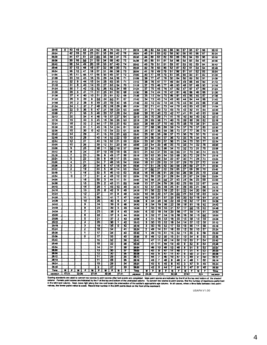| 20:18            | 0         | 43              | 19    | 53 | 24              | 62 | 36    | 70              | 43              | 77 | 20:18 | 46              | 82 | 54              | 83              | 55 | 90   | 57              | 95 | 57 | 98              | 20:18 |
|------------------|-----------|-----------------|-------|----|-----------------|----|-------|-----------------|-----------------|----|-------|-----------------|----|-----------------|-----------------|----|------|-----------------|----|----|-----------------|-------|
| 20:24            |           | 42              | 18    | 52 | 23              | 61 | 35    | 69              | 42              | 76 | 20:24 | 45              | 81 | 53              | 82              | 55 | 90   | 56              | 95 | 56 | 97              | 20:24 |
|                  |           |                 |       |    |                 |    |       |                 |                 |    |       |                 |    |                 |                 |    |      |                 |    |    |                 |       |
| 20:30            |           | 41              | 17    | 51 | 22              | 60 | 35    | 68              | 41              | 75 | 20:30 | 44              | 80 | 52              | 82              | 55 | 89   | 55              | 94 | 55 | 96              | 20:30 |
| 20:36            |           | 39              | 16    | 50 | 21              | 59 | 34    | 68              | 40              | 75 | 2x38  | 43              | 80 | 51              | 81              | 54 | 88   | 54              | 93 | 54 | 95              | 20:36 |
| 20:42            |           | 38              | 14    | 49 | 20              | 58 | 33    | 67              | 40              | 74 | 20:42 | 43              | 79 | 51              | 81              | 53 | 87   | 53              | 92 | 53 | 94              | 20:42 |
| 20:48            |           | 37              | 13    | 48 | 19              | 57 | 32    | 66              | 39              | 73 | 20:48 | 42              | 78 | 50              | 80              | 52 | 87   | 52              | 91 | 53 | 94              | 20:48 |
| 20:54            |           | 36              | 12    | 47 | 18              | 57 | 31    | 66              | 38              | 73 | 20:54 | 41              | 78 | 49              | 79              | 31 | 86   | 51              | 91 | 52 | 93              | 20:54 |
| 21:00            |           | 35              | 11    | 46 | $\overline{17}$ | 56 | 30    | 65              | 37              |    |       | 40              |    | 48              |                 |    |      | 50              |    |    |                 |       |
|                  |           |                 |       |    |                 |    |       |                 |                 | 72 | 21:00 |                 | 77 |                 | 79              | 51 | 85   |                 | 90 | 51 | 92              | 21:00 |
| 21:06            |           | 33              | 10    | 45 | 16              | 55 | 29    | 64              | 36              | 71 | 21:06 | 39              | 77 | 47              | 78              | 50 | 84   | 50              | 89 | 50 | 91              | 21:06 |
| 21:12            |           | 32              | 9     | 44 | 15              | 54 | 28    | 63              | 35              | 71 | 21:12 | 38              | 76 | 47              | 77              | 49 | 84   | 49              | 88 | 49 | 90              | 21:12 |
| 21:18            |           | 31              | 8     | 43 | 14              | 53 | 27    | 63              | 34              | 70 | 21:18 | 37              | 75 | 46              | 77              | 48 | 83   | 48              | 87 | 48 | 90              | 21:18 |
| 21:24            |           | 30              | 7     | 42 | 12              | 52 | 26    | 62              | $\overline{34}$ | 69 | 21:24 | 37              | 75 | 45              | 76              | 47 | 82   | 47              | 87 | 47 | 89              | 21:24 |
| 21:30            |           | 28              | 6     | 41 | $\overline{11}$ | 51 | 25    | 61              | 33              | 68 | 21:30 | 36              | 74 | 44              | 76              | 47 | 81   | 46              | 86 | 46 | 88              | 21:30 |
| 21:36            |           | 27              | 4     | 40 | 10              | 51 | 25    | 61              | 32              | 68 | 21:36 | 35              | 73 | 44              | 75              | 46 | 81   | 45              | 85 | 45 | 87              | 21:36 |
| 21:42            |           | 26              | з     | 39 | 9               | 50 | 24    | 60              | 31              | 67 | 21:42 | 34              | 73 | 43              | 74              | 45 | 80   | 44              | 84 | 44 | 86              | 21:42 |
|                  |           | 25              |       |    |                 |    |       |                 |                 |    |       |                 |    |                 |                 |    |      |                 |    |    |                 |       |
| 21:48            |           |                 | 2     | 38 | 8               | 49 | 23    | 59              | 30              | 66 | 21:48 | 33              | 72 | 42              | 74              | 44 | 79   | 43              | 84 | 43 | 86              | 21:48 |
| 21:54            |           | $\overline{24}$ | 1     | 37 | 7               | 48 | 22    | 59              | 29              | 66 | 21:54 | 32              | 71 | 41              | $\overline{73}$ | 44 | 79   | 43              | 83 | 42 | 85              | 21:54 |
| 22:00            |           | 22              | 0     | 36 | 6               | 47 | 21    | 58              | 29              | 65 | 22:00 | 31              | 71 | 40              | 72              | 43 | 78   | 42              | 82 | 41 | 84              | 22:00 |
| 22:06            |           | 21              |       | 35 | 5               | 46 | 20    | 57              | 28              | 64 | 22:06 | 30              | 70 | 40              | 72              | 42 | 77   | 41              | 81 | 40 | 83              | 22:06 |
| 22:12            |           | 20              |       | 34 | 4               | 46 | 19    | 57              | 27              | 64 | 22:12 | 30              | 70 | 39              | 71              | 41 | 76   | 40              | 80 | 40 | 82              | 22:12 |
| 22:18            |           | 19              |       | 33 | 3               | 45 | 18    | 56              | 26              | 63 | 22:18 | 29              | 69 | 38              | 71              | 40 | 76   | 39              | 80 | 39 | 82              | 22:18 |
| 22:24            |           | 18              |       | 32 | 2               | 44 | 17    | $\overline{55}$ | 25              | 62 | 22:24 | 28              | 68 | 37              | 70              | 40 | 75   | 38              | 79 | 38 | 81              | 22:24 |
| 22:30            |           | 16              |       | 31 | ī               | 43 | 16    | 54              | 24              | 61 |       | 27              | 68 |                 |                 |    |      |                 |    |    |                 |       |
|                  |           |                 |       |    |                 |    |       |                 |                 |    | 22:30 |                 |    | 36              | 69              | 39 | 74   | 37              | 78 | 37 | 80              | 22:30 |
| 22:36            |           | 15              |       | 30 | ō               | 42 | 15    | 54              | 23              | 61 | 22:36 | 26              | 67 | 36              | 69              | 38 | 73   | 37              | 77 | 36 | 79              | 22.36 |
| 22:42            |           | 14              |       | 29 |                 | 41 | 15    | 53              | 23              | 60 | 22:42 | 25              | 66 | 35              | 68              | 37 | 73   | 36              | 76 | 35 | 78              | 22:42 |
| 22:48            |           | 13              |       | 28 |                 | 40 | 14    | 52              | 22              | 59 | 22:48 | 24              | 66 | 34              | 67              | 36 | 72   | 35              | 76 | उन | 78              | 22.48 |
| 22:54            |           | 12              |       | 27 |                 | 40 | 13    | 52              | 21              | 59 | 22:54 | 23              | 65 | 33              | 67              | 36 | 71   | 34              | 75 | 33 | 77              | 22:54 |
| 23:00            |           | 10              |       | 26 |                 | 39 | 12    | 51              | 20              | 58 | 23:00 | 23              | 64 | 33              | 66              | 35 | 70   | 33              | 74 | 32 | 76              | 23:00 |
| 23:06            |           | 9               |       | 25 |                 | 38 | 11    | 50              | 19              | 57 | 23:06 | 22              | 64 | 32              | 66              | 34 | 70   | 32              | 73 | 31 | 75              | 23.06 |
| 23:12            |           | T               |       | 24 |                 | 37 | 10    | 49              | 18              | 56 | 23:12 | $\overline{21}$ | 63 | 31              | $\overline{65}$ | 33 | 69   | 31              | 73 | 30 | 74              |       |
| 23:16            |           | 7               |       | 23 |                 | 36 |       | 49              |                 | 56 |       |                 |    |                 |                 |    |      |                 |    |    |                 | 23:12 |
|                  |           |                 |       |    |                 |    | ॿ     |                 | 17              |    | 23:18 | 20              | 63 | 30              | ब्र             | 33 | 68   | 30              | 72 | 29 | 74              | 23:18 |
| 23:24            |           | 5               |       | 22 |                 | 35 | 8     | 48              | 17              | 55 | 23:24 | 19              | 62 | 29              | 64              | 32 | 67   | 30              | 71 | 28 | 73              | 23:24 |
| 23:30            |           | 4               |       | 21 |                 | 34 | 7     | 48              | 16              | 54 | 23:30 | 18              | 61 | 29              | 63              | 31 | 67   | 29              | 70 | 27 | 72              | 23:30 |
| 23:36            |           | 3               |       | 20 |                 | 34 | 6     | 47              | 15              | 54 | 23:36 | 17              | 61 | 28              | 62              | 30 | 66   | 28              | 69 | 27 | 71              | 23:36 |
| 23:42            |           | 2               |       | 19 |                 | 33 | 5     | 46              | 14              | 53 | 23:42 | 17              | 60 | 27              | 62              | 29 | 65   | 27              | 69 | 26 | 70              | 23:42 |
| 23:48            |           | ī               |       | 18 |                 | 32 | 5     | 46              | 13              | 52 | 23:48 | 16              | 59 | 26              | 61              | 29 | 64   | 26              | 68 | 25 | 70              | 23:48 |
| 23.54            |           | o               |       | 17 |                 | 31 | 4     | 45              | 12              | 52 | 23:54 | 15              | 59 | 25              | 61              | 28 | 64   | 25              | 67 | 24 | 69              | 23.54 |
| 24:00            |           |                 |       | 16 |                 | 30 | 3     | 44              | 11              | 51 | 24.00 | 14              | 55 | 25              | 60              | 27 | 63   | 24              | 66 | 23 | 68              | 24:00 |
|                  |           |                 |       |    |                 |    |       |                 |                 |    |       |                 |    |                 |                 |    |      |                 |    |    |                 |       |
| 24:08            |           |                 |       | 15 |                 | 29 | 2     | 43              | 11              | 50 | 24:08 | 13              | 57 | 24              | 59              | 26 | 62   | 23              | 65 | 22 | 67              | 24:06 |
| 24:12            |           |                 |       | 14 |                 | 29 | 1     | 43              | 10              | 49 | 24:12 | 12              | 57 | 23              | 59              | 25 | 61   | 23              | 65 | 21 | 66              | 24:12 |
| 24:18            |           |                 |       | 13 |                 | 28 | Ō     | 42              | 9               | 49 | 24:18 | 11              | 56 | 22              | 58              | 25 | 61   | 22              | 64 | 20 | 66              | 24:18 |
| 24:24            |           |                 |       | 12 |                 | 27 |       | 41              | 8               | 48 | 24.24 | 10              | 56 | 22              | 57              | 24 | 60   | 21              | 63 | 19 | 65              | 24:24 |
| 24:30            |           |                 |       | 11 |                 | 26 |       | 41              | 7               | 47 | 24:30 | 10              | 55 | $\overline{21}$ | 57              | 23 | 59   | $\overline{20}$ | 62 | 18 | $\overline{64}$ | 24:30 |
| 24:36            |           |                 |       | 10 |                 | 25 |       | 40              | 6               | 47 | 24:36 | s               | 54 | 20              | 56              | 22 | 59   | 19              | 62 | 17 | 63              | 24:36 |
| 24:42            |           |                 |       | 9  |                 | 24 |       | 39              | 6               | 46 | 24:42 | 8               | 54 | 19              | 56              | 22 | 58   | 18              | 61 | 16 | 62              |       |
| 24:48            |           |                 |       | 8  |                 | 23 |       | 39              |                 |    |       |                 | 53 |                 |                 |    |      |                 |    |    |                 | 24:42 |
|                  |           |                 |       |    |                 |    |       |                 | 5               | 45 | 24:48 | 7               |    | 18              | 55              | 21 | 57   | 17              | 60 | 15 | 62              | 24:48 |
| 24:54            |           |                 |       | 7  |                 | 23 |       | 38              | 4               | 45 | 24:54 | 6               | 52 | 18              | 54              | 20 | 56   | 17              | 59 | 14 | 61              | 24.54 |
| 25:00            |           |                 |       | 6  |                 | 22 |       | 37              | 3               | 44 | 25:00 | 3               | 52 | 17              | 54              | 19 | 56   | 16              | 58 | 13 | 60              | 25:00 |
| 25.06            |           |                 |       | 5  |                 | 21 |       | 37              | 2               | 43 | 25:06 | 4               | 51 | 16              | 53              | 18 | 55   | 15              | 58 | 13 | 59              | 25:00 |
| 25:12            |           |                 |       | 4  |                 | 20 |       | 36              | 1               | 42 | 25:12 | 3               | 50 | 15              | 52              | 18 | 54   | 14              | 57 | 12 | 58              | 25:12 |
| 25:18            |           |                 |       | 3  |                 | 19 |       | 35              | Ö               | 42 | 25:18 | 3               | 50 | 15              | 52              | 17 | 53   | $\overline{13}$ | 56 | 11 | 38              | 25:18 |
| 25:24            |           |                 |       | 2  |                 | 18 |       | 34              |                 | 41 | 25.24 | 2               | 49 | 14              | 51              | 16 | 53   | 12              | 55 | 10 | 57              | 25:24 |
| 25:30            |           |                 |       | 1  |                 | 17 |       | 34              |                 | 40 |       |                 |    |                 |                 |    |      |                 |    |    |                 |       |
|                  |           |                 |       |    |                 |    |       |                 |                 |    | 25:30 | 1               | 49 | 13              | 51              | 15 | 52   | 11              | 55 | ē  | 56              | 25:30 |
| 25:36            |           |                 |       | ō  |                 | 17 |       | 33              |                 | 40 | 25:36 | o               | 48 | 12              | 50              | 15 | 51   | 10              | 54 | 8  | 55              | 25:36 |
| 25:42            |           |                 |       |    |                 | 16 |       | 32              |                 | 39 | 25:42 |                 | 47 | 11              | 49              | 14 | 50   | 10              | 33 | 7  | 54              | 25:42 |
| 25:48            |           |                 |       |    |                 | 13 |       | 32              |                 | 38 | 25.48 |                 | 47 | 11              | 49              | 13 | 50   | T               | 52 | 6  | 54              | 25:48 |
| 25:54            |           |                 |       |    |                 | 14 |       | 31              |                 | 30 | 25:54 |                 | 46 | 10              | 48              | 12 | 49   | T               | 51 | 3  | 53              | 25:54 |
| 23:00            |           |                 |       |    |                 | १उ |       | 30              |                 | 37 | 2500  |                 | 75 | g               | 47              | π  | ग्रह | 7               | 31 | 2  | 32              | 26:00 |
| 26:06            |           |                 |       |    |                 | 12 |       | w               |                 | 36 | 25173 |                 | 45 | Ŧ               | 77              | 11 | 77   | ड               | 50 | 3  | 51              | 26.06 |
| 26:12            |           |                 |       |    |                 | π  |       | 29              |                 | 35 | 26:12 |                 | 74 |                 | Æ               | π  | 47   | т               | 49 | z  | 50              | 26:12 |
| 28-1 R           |           |                 |       |    |                 | 11 |       | 28              |                 | 35 | 26:18 |                 | 43 |                 | 46              | ø  | 46   | 4               | 48 | 1  | 50              | 26:18 |
| 26:24            |           |                 |       |    |                 | 10 |       | 28              |                 | 34 | 26:24 |                 | 43 | 6               | 45              | 8  | 45   | з               | 47 | ō  | 49              | 26.24 |
| 28:30            |           |                 |       |    |                 | 9  |       | 27              |                 | 33 | 26:30 |                 | 42 | s               | 44              | 7  | 44   | 3               |    |    |                 |       |
|                  | w         | F               |       | F  |                 |    |       |                 |                 |    |       |                 |    |                 |                 |    |      |                 | 47 | Ō  | 48              | 26:30 |
| Time             | $17 - 21$ |                 | M     |    | M               | F  | N     | Ŧ               | M               | F  | Time  | Ħ               | Ŧ  | K               | F               | Ñ  | F    | Ñ               | Ŧ  | N  | F               | Time  |
| <b>ADE GROUP</b> |           |                 | 22-26 |    | 27-31           |    | 32-36 |                 | $37 - 4$        |    |       | 42.48           |    | 47.5            |                 |    |      |                 |    |    |                 |       |

common and the set of the set of the set of the set of the set of the set of the set of the set of the set of the set of the set of the set of the function of the shaded column. Female point scores are indicated by the R a  $\mathbb{Z}$